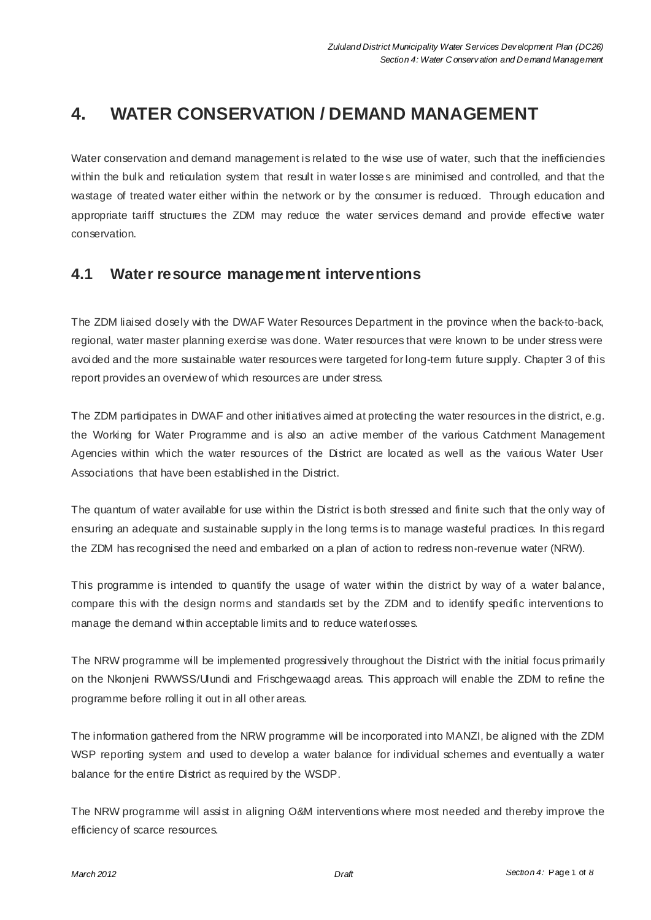# **4. WATER CONSERVATION / DEMAND MANAGEMENT**

Water conservation and demand management is related to the wise use of water, such that the inefficiencies within the bulk and reticulation system that result in water losses are minimised and controlled, and that the wastage of treated water either within the network or by the consumer is reduced. Through education and appropriate tariff structures the ZDM may reduce the water services demand and provide effective water conservation.

### **4.1 Water resource management interventions**

The ZDM liaised dosely with the DWAF Water Resources Department in the province when the back-to-back, regional, water master planning exercise was done. Water resources that were known to be under stress were avoided and the more sustainable water resources were targeted for long-term future supply. Chapter 3 of this report provides an overview of which resources are under stress.

The ZDM participates in DWAF and other initiatives aimed at protecting the water resources in the district, e.g. the Working for Water Programme and is also an active member of the various Catchment Management Agencies within which the water resources of the District are located as well as the various Water User Associations that have been established in the District.

The quantum of water available for use within the District is both stressed and finite such that the only way of ensuring an adequate and sustainable supply in the long terms is to manage wasteful practices. In this regard the ZDM has recognised the need and embarked on a plan of action to redress non-revenue water (NRW).

This programme is intended to quantify the usage of water within the district by way of a water balance, compare this with the design norms and standards set by the ZDM and to identify specific interventions to manage the demand within acceptable limits and to reduce waterlosses.

The NRW programme will be implemented progressively throughout the District with the initial focus primarily on the Nkonjeni RWWSS/Ulundi and Frischgewaagd areas. This approach will enable the ZDM to refine the programme before rolling it out in all other areas.

The information gathered from the NRW programme will be incorporated into MANZI, be aligned with the ZDM WSP reporting system and used to develop a water balance for individual schemes and eventually a water balance for the entire District as required by the WSDP.

The NRW programme will assist in aligning O&M interventions where most needed and thereby improve the efficiency of scarce resources.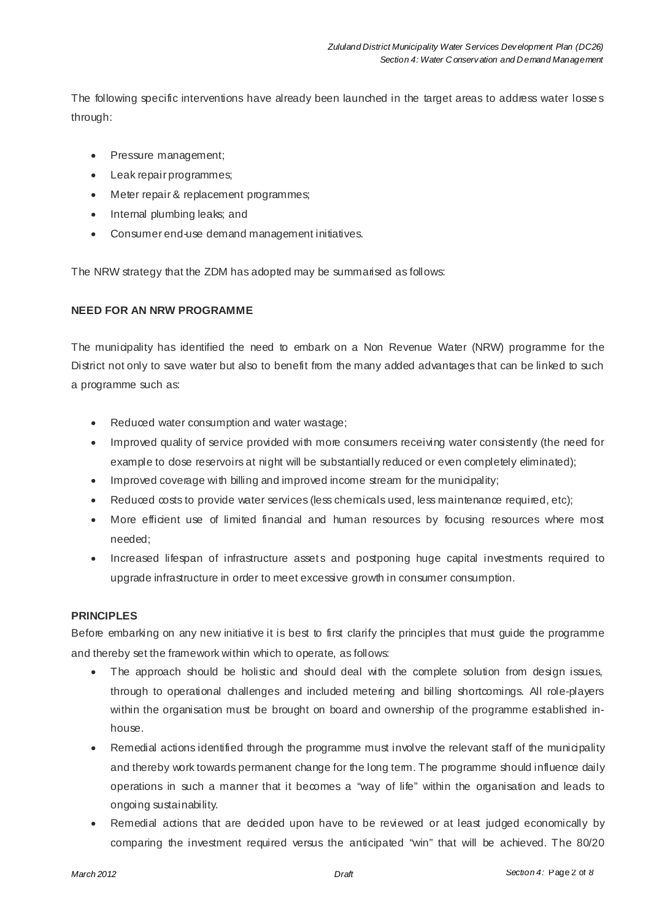The following specific interventions have already been launched in the target areas to address water losses through:

- Pressure management;
- Leak repair programmes;
- Meter repair & replacement programmes;
- Internal plumbing leaks; and
- Consumer end-use demand management initiatives.

The NRW strategy that the ZDM has adopted may be summarised as follows:

### **NEED FOR AN NRW PROGRAMME**

The municipality has identified the need to embark on a Non Revenue Water (NRW) programme for the District not only to save water but also to benefit from the many added advantages that can be linked to such a programme such as:

- Reduced water consumption and water wastage;
- Improved quality of service provided with more consumers receiving water consistently (the need for example to dose reservoirs at night will be substantially reduced or even completely eliminated);
- Improved coverage with billing and improved income stream for the municipality;
- Reduced costs to provide water services (less chemicals used, less maintenance required, etc);
- More efficient use of limited financial and human resources by focusing resources where most needed;
- Increased lifespan of infrastructure assets and postponing huge capital investments required to upgrade infrastructure in order to meet excessive growth in consumer consumption.

### **PRINCIPLES**

Before embarking on any new initiative it is best to first clarify the principles that must guide the programme and thereby set the framework within which to operate, as follows:

- The approach should be holistic and should deal with the complete solution from design issues, through to operational challenges and included metering and billing shortcomings. All role-players within the organisation must be brought on board and ownership of the programme established inhouse.
- Remedial actions identified through the programme must involve the relevant staff of the municipality and thereby work towards permanent change for the long term. The programme should influence daily operations in such a manner that it becomes a "way of life" within the organisation and leads to ongoing sustainability.
- Remedial actions that are decided upon have to be reviewed or at least judged economically by comparing the investment required versus the anticipated "win" that will be achieved. The 80/20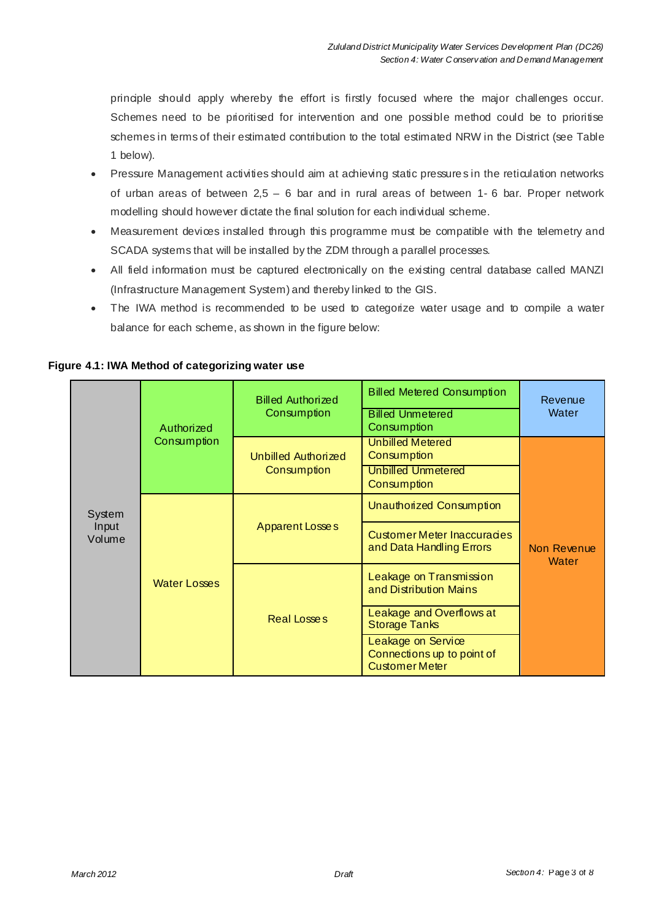principle should apply whereby the effort is firstly focused where the major challenges occur. Schemes need to be prioritised for intervention and one possible method could be to prioritise schemes in terms of their estimated contribution to the total estimated NRW in the District (see Table 1 below).

- Pressure Management activities should aim at achieving static pressure s in the reticulation networks of urban areas of between 2,5 – 6 bar and in rural areas of between 1- 6 bar. Proper network modelling should however dictate the final solution for each individual scheme.
- Measurement devices installed through this programme must be compatible with the telemetry and SCADA systems that will be installed by the ZDM through a parallel processes.
- All field information must be captured electronically on the existing central database called MANZI (Infrastructure Management System) and thereby linked to the GIS.
- The IWA method is recommended to be used to categorize water usage and to compile a water balance for each scheme, as shown in the figure below:

| System<br>Input<br>Volume | Authorized<br>Consumption | <b>Billed Authorized</b><br>Consumption | <b>Billed Metered Consumption</b><br><b>Billed Unmetered</b><br>Consumption | Revenue<br>Water            |
|---------------------------|---------------------------|-----------------------------------------|-----------------------------------------------------------------------------|-----------------------------|
|                           |                           | Unbilled Authorized<br>Consumption      | <b>Unbilled Metered</b><br>Consumption                                      | Non Revenue<br><b>Water</b> |
|                           |                           |                                         | <b>Unbilled Unmetered</b><br>Consumption                                    |                             |
|                           | <b>Water Losses</b>       | <b>Apparent Losses</b>                  | Unauthorized Consumption                                                    |                             |
|                           |                           |                                         | <b>Customer Meter Inaccuracies</b><br>and Data Handling Errors              |                             |
|                           |                           | Real Losses                             | Leakage on Transmission<br>and Distribution Mains                           |                             |
|                           |                           |                                         | Leakage and Overflows at<br><b>Storage Tanks</b>                            |                             |
|                           |                           |                                         | Leakage on Service<br>Connections up to point of<br><b>Customer Meter</b>   |                             |

**Figure 4.1: IWA Method of categorizing water use**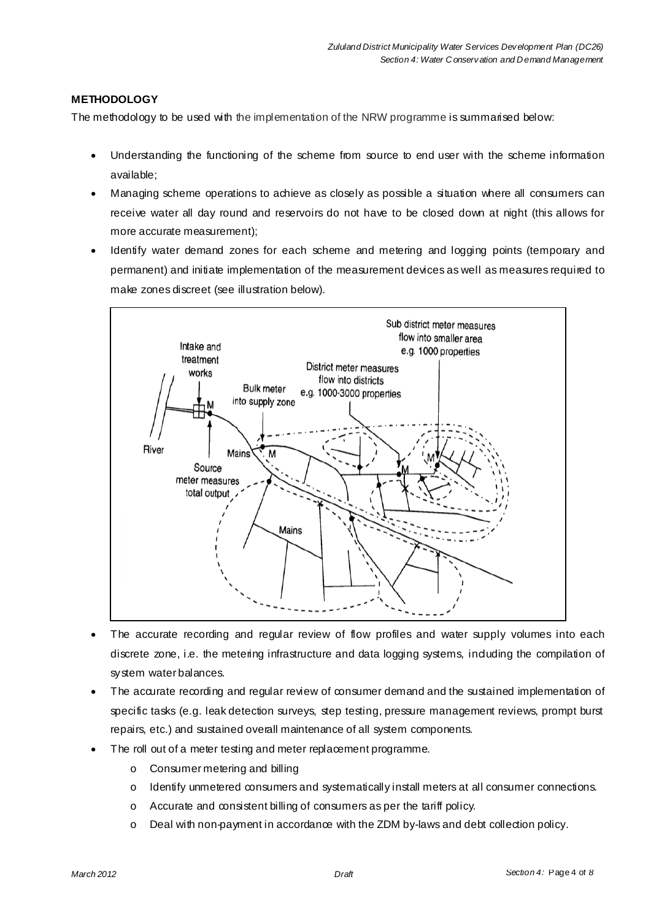### **METHODOLOGY**

The methodology to be used with the implementation of the NRW programme is summarised below:

- Understanding the functioning of the scheme from source to end user with the scheme information available;
- Managing scheme operations to achieve as closely as possible a situation where all consumers can receive water all day round and reservoirs do not have to be closed down at night (this allows for more accurate measurement);
- Identify water demand zones for each scheme and metering and logging points (temporary and permanent) and initiate implementation of the measurement devices as well as measures required to make zones discreet (see illustration below).



- The accurate recording and regular review of flow profiles and water supply volumes into each discrete zone, i.e. the metering infrastructure and data logging systems, induding the compilation of system water balances.
- The accurate recording and regular review of consumer demand and the sustained implementation of specific tasks (e.g. leak detection surveys, step testing, pressure management reviews, prompt burst repairs, etc.) and sustained overall maintenance of all system components.
- The roll out of a meter testing and meter replacement programme.
	- o Consumer metering and billing
	- o Identify unmetered consumers and systematically install meters at all consumer connections.
	- o Accurate and consistent billing of consumers as per the tariff policy.
	- $\circ$  Deal with non-payment in accordance with the ZDM by-laws and debt collection policy.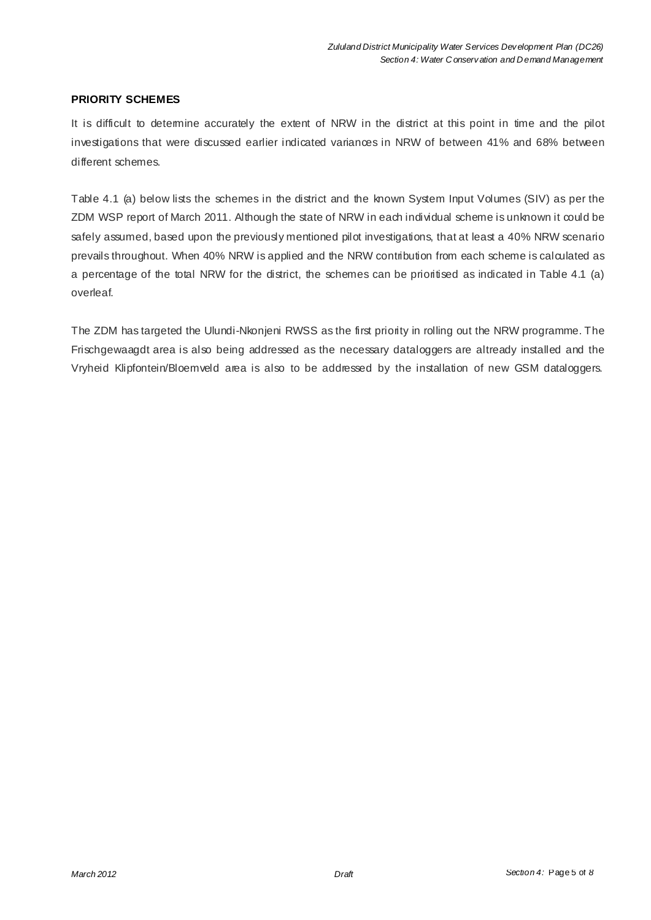### **PRIORITY SCHEMES**

It is difficult to determine accurately the extent of NRW in the district at this point in time and the pilot investigations that were discussed earlier indicated variances in NRW of between 41% and 68% between different schemes.

Table 4.1 (a) below lists the schemes in the district and the known System Input Volumes (SIV) as per the ZDM WSP report of March 2011. Although the state of NRW in each individual scheme is unknown it could be safely assumed, based upon the previously mentioned pilot investigations, that at least a 40% NRW scenario prevails throughout. When 40% NRW is applied and the NRW contribution from each scheme is calculated as a percentage of the total NRW for the district, the schemes can be prioritised as indicated in Table 4.1 (a) overleaf.

The ZDM has targeted the Ulundi-Nkonjeni RWSS as the first priority in rolling out the NRW programme. The Frischgewaagdt area is also being addressed as the necessary dataloggers are altready installed and the Vryheid Klipfontein/Bloemveld area is also to be addressed by the installation of new GSM dataloggers.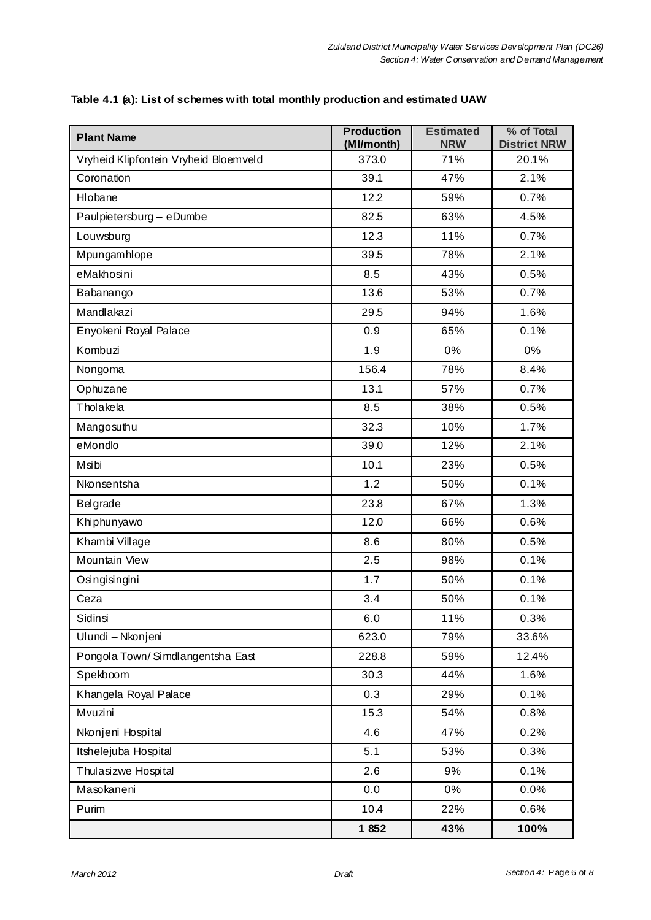| <b>Plant Name</b>                     | <b>Production</b><br>(MI/month) | <b>Estimated</b><br><b>NRW</b> | % of Total<br><b>District NRW</b> |
|---------------------------------------|---------------------------------|--------------------------------|-----------------------------------|
| Vryheid Klipfontein Vryheid Bloemveld | 373.0                           | 71%                            | 20.1%                             |
| Coronation                            | 39.1                            | 47%                            | 2.1%                              |
| Hlobane                               | 12.2                            | 59%                            | 0.7%                              |
| Paulpietersburg - eDumbe              | 82.5                            | 63%                            | 4.5%                              |
| Louwsburg                             | 12.3                            | 11%                            | 0.7%                              |
| Mpungamhlope                          | 39.5                            | 78%                            | 2.1%                              |
| eMakhosini                            | 8.5                             | 43%                            | 0.5%                              |
| Babanango                             | 13.6                            | 53%                            | 0.7%                              |
| Mandlakazi                            | 29.5                            | 94%                            | 1.6%                              |
| Enyokeni Royal Palace                 | 0.9                             | 65%                            | 0.1%                              |
| Kombuzi                               | 1.9                             | 0%                             | 0%                                |
| Nongoma                               | 156.4                           | 78%                            | 8.4%                              |
| Ophuzane                              | 13.1                            | 57%                            | 0.7%                              |
| Tholakela                             | 8.5                             | 38%                            | 0.5%                              |
| Mangosuthu                            | 32.3                            | 10%                            | 1.7%                              |
| eMondlo                               | 39.0                            | 12%                            | 2.1%                              |
| Msibi                                 | 10.1                            | 23%                            | 0.5%                              |
| Nkonsentsha                           | 1.2                             | 50%                            | 0.1%                              |
| Belgrade                              | 23.8                            | 67%                            | 1.3%                              |
| Khiphunyawo                           | 12.0                            | 66%                            | 0.6%                              |
| Khambi Village                        | 8.6                             | 80%                            | 0.5%                              |
| Mountain View                         | 2.5                             | 98%                            | 0.1%                              |
| Osingisingini                         | 1.7                             | 50%                            | 0.1%                              |
| Ceza                                  | 3.4                             | 50%                            | 0.1%                              |
| Sidinsi                               | 6.0                             | 11%                            | 0.3%                              |
| Ulundi - Nkonjeni                     | 623.0                           | 79%                            | 33.6%                             |
| Pongola Town/Simdlangentsha East      | 228.8                           | 59%                            | 12.4%                             |
| Spekboom                              | 30.3                            | 44%                            | 1.6%                              |
| Khangela Royal Palace                 | 0.3                             | 29%                            | 0.1%                              |
| Mvuzini                               | 15.3                            | 54%                            | 0.8%                              |
| Nkonjeni Hospital                     | 4.6                             | 47%                            | 0.2%                              |
| Itshelejuba Hospital                  | 5.1                             | 53%                            | 0.3%                              |
| Thulasizwe Hospital                   | 2.6                             | 9%                             | 0.1%                              |
| Masokaneni                            | 0.0                             | 0%                             | 0.0%                              |
| Purim                                 | 10.4                            | 22%                            | 0.6%                              |
|                                       | 1852                            | 43%                            | 100%                              |

### **Table 4.1 (a): List of schemes with total monthly production and estimated UAW**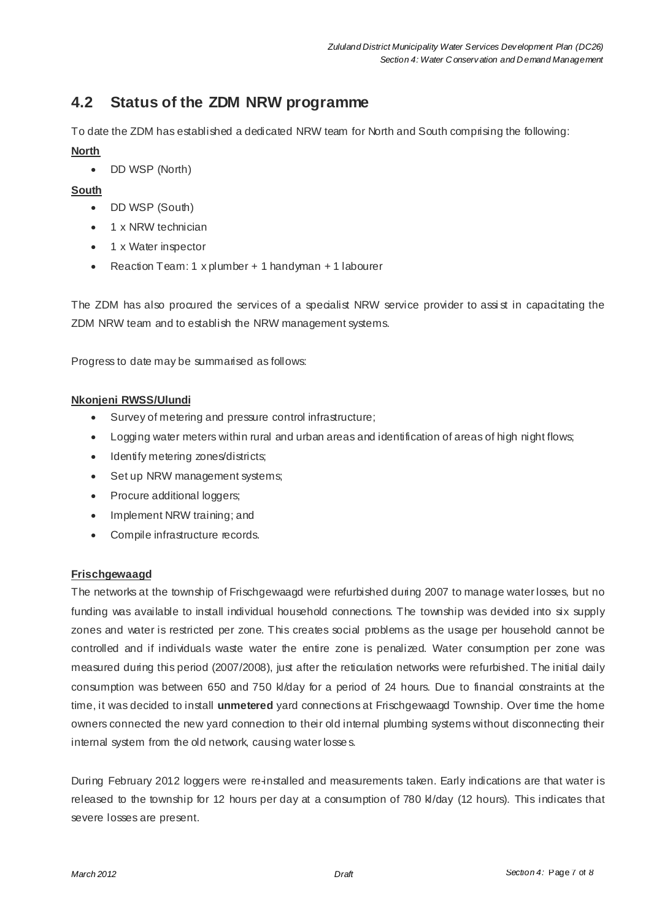# **4.2 Status of the ZDM NRW programme**

To date the ZDM has established a dedicated NRW team for North and South comprising the following:

### **North**

• DD WSP (North)

### **South**

- DD WSP (South)
- 1 x NRW technician
- 1 x Water inspector
- x Reaction Team: 1 x plumber + 1 handyman + 1 labourer

The ZDM has also procured the services of a specialist NRW service provider to assist in capacitating the ZDM NRW team and to establish the NRW management systems.

Progress to date may be summarised as follows:

### **Nkonjeni RWSS/Ulundi**

- Survey of metering and pressure control infrastructure;
- Logging water meters within rural and urban areas and identification of areas of high night flows;
- Identify metering zones/districts;
- Set up NRW management systems;
- Procure additional loggers;
- Implement NRW training; and
- Compile infrastructure records.

### **Frischgewaagd**

The networks at the township of Frischgewaagd were refurbished during 2007 to manage water losses, but no funding was available to install individual household connections. The township was devided into six supply zones and water is restricted per zone. This creates social problems as the usage per household cannot be controlled and if individuals waste water the entire zone is penalized. Water consumption per zone was measured during this period (2007/2008), just after the reticulation networks were refurbished. The initial daily consumption was between 650 and 750 kl/day for a period of 24 hours. Due to financial constraints at the time, it was decided to install **unmetered** yard connections at Frischgewaagd Township. Over time the home owners connected the new yard connection to their old internal plumbing systems without disconnecting their internal system from the old network, causing water losse s.

During February 2012 loggers were re-installed and measurements taken. Early indications are that water is released to the township for 12 hours per day at a consumption of 780 kl/day (12 hours). This indicates that severe losses are present.